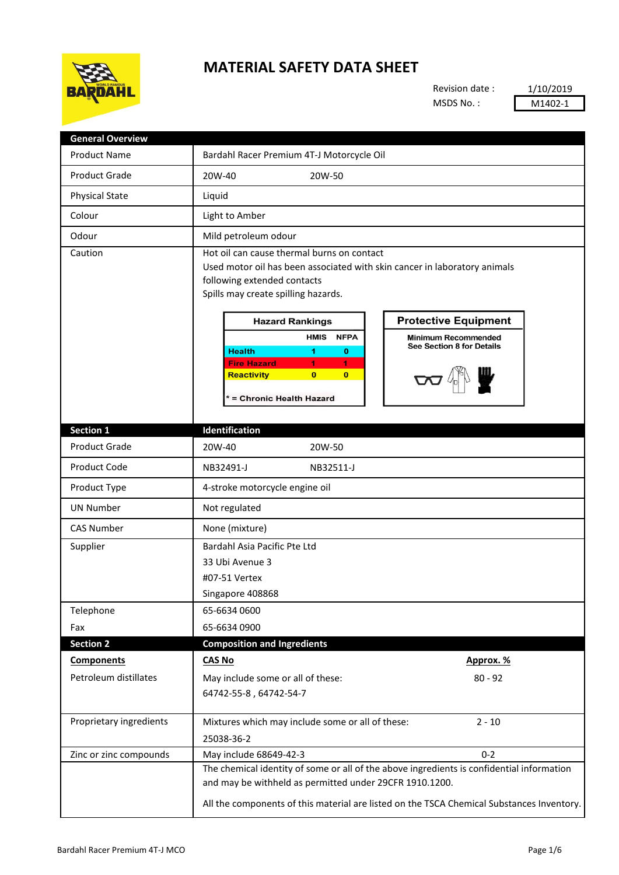

## **MATERIAL SAFETY DATA SHEET**

Revision date : MSDS No. :

1/10/2019 M1402-1

| <b>General Overview</b> |                                                                                                                                                                                                                                                                                                                                                                                                                                                                                                    |  |  |  |
|-------------------------|----------------------------------------------------------------------------------------------------------------------------------------------------------------------------------------------------------------------------------------------------------------------------------------------------------------------------------------------------------------------------------------------------------------------------------------------------------------------------------------------------|--|--|--|
| <b>Product Name</b>     | Bardahl Racer Premium 4T-J Motorcycle Oil                                                                                                                                                                                                                                                                                                                                                                                                                                                          |  |  |  |
| <b>Product Grade</b>    | 20W-40<br>20W-50                                                                                                                                                                                                                                                                                                                                                                                                                                                                                   |  |  |  |
| <b>Physical State</b>   | Liquid                                                                                                                                                                                                                                                                                                                                                                                                                                                                                             |  |  |  |
| Colour                  | Light to Amber                                                                                                                                                                                                                                                                                                                                                                                                                                                                                     |  |  |  |
| Odour                   | Mild petroleum odour                                                                                                                                                                                                                                                                                                                                                                                                                                                                               |  |  |  |
| Caution                 | Hot oil can cause thermal burns on contact<br>Used motor oil has been associated with skin cancer in laboratory animals<br>following extended contacts<br>Spills may create spilling hazards.<br><b>Protective Equipment</b><br><b>Hazard Rankings</b><br><b>HMIS</b><br><b>NFPA</b><br><b>Minimum Recommended</b><br>See Section 8 for Details<br><b>Health</b><br>1.<br>$\bf{0}$<br><b>Fire Hazard</b><br>1.<br>1.<br><b>Reactivity</b><br>$\bf{0}$<br>$\mathbf{0}$<br>* = Chronic Health Hazard |  |  |  |
| <b>Section 1</b>        | Identification                                                                                                                                                                                                                                                                                                                                                                                                                                                                                     |  |  |  |
| <b>Product Grade</b>    | 20W-40<br>20W-50                                                                                                                                                                                                                                                                                                                                                                                                                                                                                   |  |  |  |
| <b>Product Code</b>     | NB32491-J<br>NB32511-J                                                                                                                                                                                                                                                                                                                                                                                                                                                                             |  |  |  |
| Product Type            | 4-stroke motorcycle engine oil                                                                                                                                                                                                                                                                                                                                                                                                                                                                     |  |  |  |
| <b>UN Number</b>        | Not regulated                                                                                                                                                                                                                                                                                                                                                                                                                                                                                      |  |  |  |
| <b>CAS Number</b>       | None (mixture)                                                                                                                                                                                                                                                                                                                                                                                                                                                                                     |  |  |  |
| Supplier                | Bardahl Asia Pacific Pte Ltd<br>33 Ubi Avenue 3<br>#07-51 Vertex<br>Singapore 408868                                                                                                                                                                                                                                                                                                                                                                                                               |  |  |  |
| Telephone               | 65-6634 0600                                                                                                                                                                                                                                                                                                                                                                                                                                                                                       |  |  |  |
| Fax                     | 65-6634 0900                                                                                                                                                                                                                                                                                                                                                                                                                                                                                       |  |  |  |
| <b>Section 2</b>        | <b>Composition and Ingredients</b>                                                                                                                                                                                                                                                                                                                                                                                                                                                                 |  |  |  |
| <b>Components</b>       | <b>CAS No</b><br>Approx. %                                                                                                                                                                                                                                                                                                                                                                                                                                                                         |  |  |  |
| Petroleum distillates   | May include some or all of these:<br>$80 - 92$<br>64742-55-8, 64742-54-7                                                                                                                                                                                                                                                                                                                                                                                                                           |  |  |  |
| Proprietary ingredients | Mixtures which may include some or all of these:<br>$2 - 10$<br>25038-36-2                                                                                                                                                                                                                                                                                                                                                                                                                         |  |  |  |
| Zinc or zinc compounds  | $0 - 2$<br>May include 68649-42-3                                                                                                                                                                                                                                                                                                                                                                                                                                                                  |  |  |  |
|                         | The chemical identity of some or all of the above ingredients is confidential information<br>and may be withheld as permitted under 29CFR 1910.1200.<br>All the components of this material are listed on the TSCA Chemical Substances Inventory.                                                                                                                                                                                                                                                  |  |  |  |
|                         |                                                                                                                                                                                                                                                                                                                                                                                                                                                                                                    |  |  |  |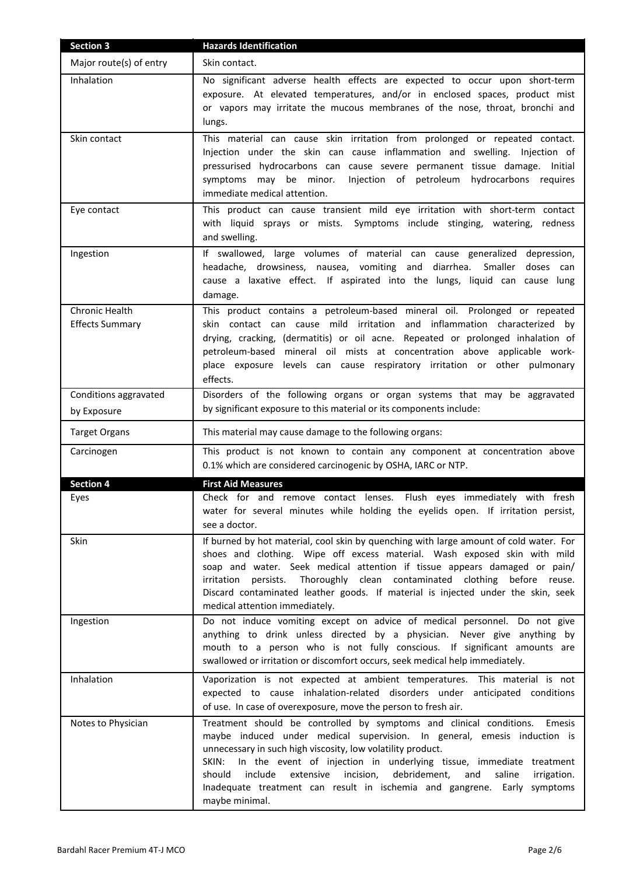| <b>Section 3</b>                         | <b>Hazards Identification</b>                                                                                                                                                                                                                                                                                                                                                                                                                                                                         |
|------------------------------------------|-------------------------------------------------------------------------------------------------------------------------------------------------------------------------------------------------------------------------------------------------------------------------------------------------------------------------------------------------------------------------------------------------------------------------------------------------------------------------------------------------------|
| Major route(s) of entry                  | Skin contact.                                                                                                                                                                                                                                                                                                                                                                                                                                                                                         |
| Inhalation                               | No significant adverse health effects are expected to occur upon short-term<br>exposure. At elevated temperatures, and/or in enclosed spaces, product mist<br>or vapors may irritate the mucous membranes of the nose, throat, bronchi and<br>lungs.                                                                                                                                                                                                                                                  |
| Skin contact                             | This material can cause skin irritation from prolonged or repeated contact.<br>Injection under the skin can cause inflammation and swelling. Injection of<br>pressurised hydrocarbons can cause severe permanent tissue damage. Initial<br>Injection of petroleum hydrocarbons requires<br>symptoms may be minor.<br>immediate medical attention.                                                                                                                                                     |
| Eye contact                              | This product can cause transient mild eye irritation with short-term contact<br>with liquid sprays or mists. Symptoms include stinging, watering, redness<br>and swelling.                                                                                                                                                                                                                                                                                                                            |
| Ingestion                                | If swallowed, large volumes of material can cause generalized depression,<br>headache, drowsiness, nausea, vomiting and diarrhea. Smaller doses can<br>cause a laxative effect. If aspirated into the lungs, liquid can cause lung<br>damage.                                                                                                                                                                                                                                                         |
| Chronic Health<br><b>Effects Summary</b> | This product contains a petroleum-based mineral oil. Prolonged or repeated<br>skin contact can cause mild irritation and inflammation characterized by<br>drying, cracking, (dermatitis) or oil acne. Repeated or prolonged inhalation of<br>petroleum-based mineral oil mists at concentration above applicable work-<br>place exposure levels can cause respiratory irritation or other pulmonary<br>effects.                                                                                       |
| Conditions aggravated                    | Disorders of the following organs or organ systems that may be aggravated                                                                                                                                                                                                                                                                                                                                                                                                                             |
| by Exposure                              | by significant exposure to this material or its components include:                                                                                                                                                                                                                                                                                                                                                                                                                                   |
| <b>Target Organs</b>                     | This material may cause damage to the following organs:                                                                                                                                                                                                                                                                                                                                                                                                                                               |
| Carcinogen                               | This product is not known to contain any component at concentration above<br>0.1% which are considered carcinogenic by OSHA, IARC or NTP.                                                                                                                                                                                                                                                                                                                                                             |
| <b>Section 4</b>                         | <b>First Aid Measures</b>                                                                                                                                                                                                                                                                                                                                                                                                                                                                             |
| Eyes                                     | Check for and remove contact lenses. Flush eyes immediately with fresh<br>water for several minutes while holding the eyelids open. If irritation persist,<br>see a doctor.                                                                                                                                                                                                                                                                                                                           |
| Skin                                     | If burned by hot material, cool skin by quenching with large amount of cold water. For<br>shoes and clothing. Wipe off excess material. Wash exposed skin with mild<br>soap and water. Seek medical attention if tissue appears damaged or pain/<br>Thoroughly clean contaminated clothing before reuse.<br>irritation persists.<br>Discard contaminated leather goods. If material is injected under the skin, seek<br>medical attention immediately.                                                |
| Ingestion                                | Do not induce vomiting except on advice of medical personnel. Do not give<br>anything to drink unless directed by a physician. Never give anything by<br>mouth to a person who is not fully conscious. If significant amounts are<br>swallowed or irritation or discomfort occurs, seek medical help immediately.                                                                                                                                                                                     |
| Inhalation                               | Vaporization is not expected at ambient temperatures. This material is not<br>expected to cause inhalation-related disorders under anticipated conditions<br>of use. In case of overexposure, move the person to fresh air.                                                                                                                                                                                                                                                                           |
| Notes to Physician                       | Treatment should be controlled by symptoms and clinical conditions.<br>Emesis<br>maybe induced under medical supervision. In general, emesis induction is<br>unnecessary in such high viscosity, low volatility product.<br>In the event of injection in underlying tissue, immediate treatment<br>SKIN:<br>include<br>extensive<br>incision,<br>debridement,<br>should<br>and<br>saline<br>irrigation.<br>Inadequate treatment can result in ischemia and gangrene. Early symptoms<br>maybe minimal. |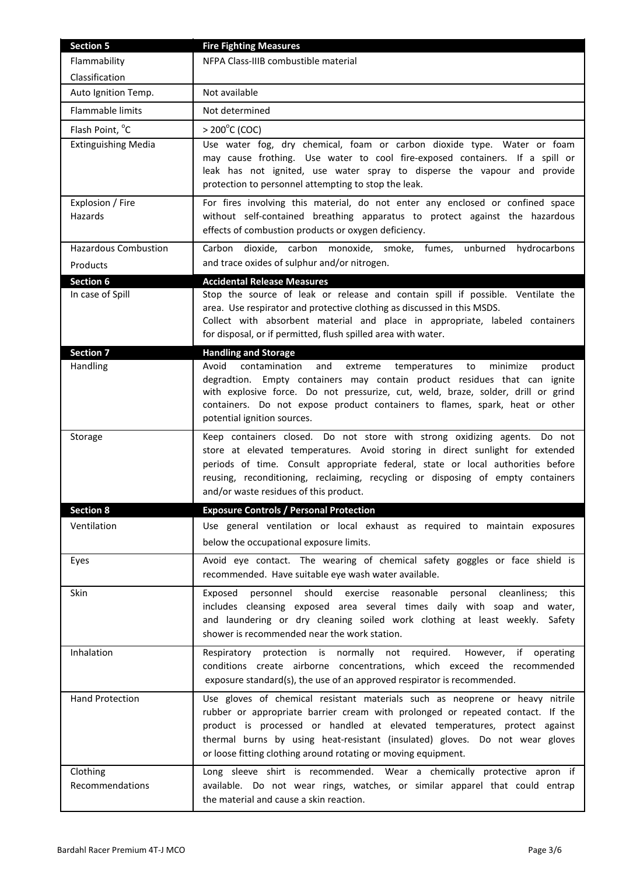| <b>Section 5</b>            | <b>Fire Fighting Measures</b>                                                                                                                                                                                                                                                                                                                                                                 |  |
|-----------------------------|-----------------------------------------------------------------------------------------------------------------------------------------------------------------------------------------------------------------------------------------------------------------------------------------------------------------------------------------------------------------------------------------------|--|
| Flammability                | NFPA Class-IIIB combustible material                                                                                                                                                                                                                                                                                                                                                          |  |
| Classification              |                                                                                                                                                                                                                                                                                                                                                                                               |  |
| Auto Ignition Temp.         | Not available                                                                                                                                                                                                                                                                                                                                                                                 |  |
| Flammable limits            | Not determined                                                                                                                                                                                                                                                                                                                                                                                |  |
| Flash Point, °C             | $> 200^{\circ}$ C (COC)                                                                                                                                                                                                                                                                                                                                                                       |  |
| <b>Extinguishing Media</b>  | Use water fog, dry chemical, foam or carbon dioxide type. Water or foam<br>may cause frothing. Use water to cool fire-exposed containers. If a spill or<br>leak has not ignited, use water spray to disperse the vapour and provide<br>protection to personnel attempting to stop the leak.                                                                                                   |  |
| Explosion / Fire<br>Hazards | For fires involving this material, do not enter any enclosed or confined space<br>without self-contained breathing apparatus to protect against the hazardous<br>effects of combustion products or oxygen deficiency.                                                                                                                                                                         |  |
| <b>Hazardous Combustion</b> | Carbon dioxide, carbon monoxide, smoke, fumes,<br>unburned hydrocarbons                                                                                                                                                                                                                                                                                                                       |  |
| Products                    | and trace oxides of sulphur and/or nitrogen.                                                                                                                                                                                                                                                                                                                                                  |  |
| <b>Section 6</b>            | <b>Accidental Release Measures</b>                                                                                                                                                                                                                                                                                                                                                            |  |
| In case of Spill            | Stop the source of leak or release and contain spill if possible. Ventilate the<br>area. Use respirator and protective clothing as discussed in this MSDS.<br>Collect with absorbent material and place in appropriate, labeled containers<br>for disposal, or if permitted, flush spilled area with water.                                                                                   |  |
| <b>Section 7</b>            | <b>Handling and Storage</b>                                                                                                                                                                                                                                                                                                                                                                   |  |
| Handling                    | contamination<br>Avoid<br>and<br>extreme<br>minimize<br>product<br>temperatures<br>to<br>degradtion. Empty containers may contain product residues that can ignite<br>with explosive force. Do not pressurize, cut, weld, braze, solder, drill or grind<br>containers. Do not expose product containers to flames, spark, heat or other<br>potential ignition sources.                        |  |
| Storage                     | Keep containers closed. Do not store with strong oxidizing agents. Do not<br>store at elevated temperatures. Avoid storing in direct sunlight for extended<br>periods of time. Consult appropriate federal, state or local authorities before<br>reusing, reconditioning, reclaiming, recycling or disposing of empty containers<br>and/or waste residues of this product.                    |  |
| <b>Section 8</b>            | <b>Exposure Controls / Personal Protection</b>                                                                                                                                                                                                                                                                                                                                                |  |
| Ventilation                 | Use general ventilation or local exhaust as required to maintain exposures<br>below the occupational exposure limits.                                                                                                                                                                                                                                                                         |  |
| Eyes                        | Avoid eye contact. The wearing of chemical safety goggles or face shield is<br>recommended. Have suitable eye wash water available.                                                                                                                                                                                                                                                           |  |
| <b>Skin</b>                 | personnel should<br>exercise reasonable<br>Exposed<br>personal<br>cleanliness; this<br>includes cleansing exposed area several times daily with soap and water,<br>and laundering or dry cleaning soiled work clothing at least weekly.<br>Safety<br>shower is recommended near the work station.                                                                                             |  |
| Inhalation                  | Respiratory protection is normally not required.<br>However, if operating<br>conditions create airborne concentrations, which exceed the recommended<br>exposure standard(s), the use of an approved respirator is recommended.                                                                                                                                                               |  |
| <b>Hand Protection</b>      | Use gloves of chemical resistant materials such as neoprene or heavy nitrile<br>rubber or appropriate barrier cream with prolonged or repeated contact. If the<br>product is processed or handled at elevated temperatures, protect against<br>thermal burns by using heat-resistant (insulated) gloves. Do not wear gloves<br>or loose fitting clothing around rotating or moving equipment. |  |
| Clothing<br>Recommendations | Long sleeve shirt is recommended. Wear a chemically protective apron if<br>available. Do not wear rings, watches, or similar apparel that could entrap<br>the material and cause a skin reaction.                                                                                                                                                                                             |  |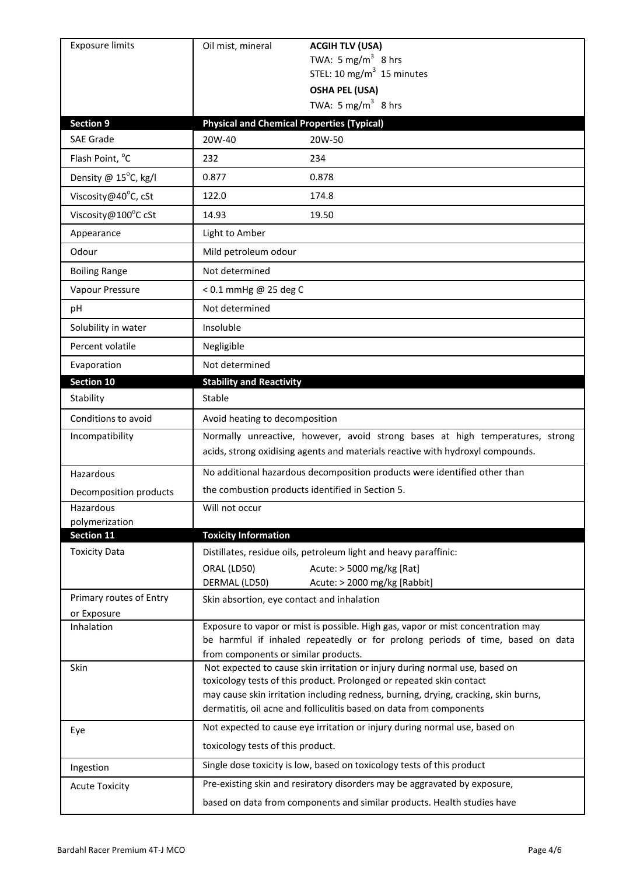| <b>Exposure limits</b>                 | Oil mist, mineral                                                                                                                                               | <b>ACGIH TLV (USA)</b>                                                                                                                                                                                                                                                                                            |  |
|----------------------------------------|-----------------------------------------------------------------------------------------------------------------------------------------------------------------|-------------------------------------------------------------------------------------------------------------------------------------------------------------------------------------------------------------------------------------------------------------------------------------------------------------------|--|
|                                        |                                                                                                                                                                 | TWA: 5 mg/m <sup>3</sup> 8 hrs                                                                                                                                                                                                                                                                                    |  |
|                                        |                                                                                                                                                                 | STEL: 10 mg/m $3$ 15 minutes                                                                                                                                                                                                                                                                                      |  |
|                                        |                                                                                                                                                                 | <b>OSHA PEL (USA)</b><br>TWA: 5 mg/m <sup>3</sup> 8 hrs                                                                                                                                                                                                                                                           |  |
| <b>Section 9</b>                       | <b>Physical and Chemical Properties (Typical)</b>                                                                                                               |                                                                                                                                                                                                                                                                                                                   |  |
| <b>SAE Grade</b>                       | 20W-40                                                                                                                                                          | 20W-50                                                                                                                                                                                                                                                                                                            |  |
| Flash Point, °C                        | 232                                                                                                                                                             | 234                                                                                                                                                                                                                                                                                                               |  |
| Density @ 15°C, kg/l                   | 0.877                                                                                                                                                           | 0.878                                                                                                                                                                                                                                                                                                             |  |
| Viscosity@40°C, cSt                    | 122.0                                                                                                                                                           | 174.8                                                                                                                                                                                                                                                                                                             |  |
| Viscosity@100°C cSt                    | 14.93                                                                                                                                                           | 19.50                                                                                                                                                                                                                                                                                                             |  |
| Appearance                             | Light to Amber                                                                                                                                                  |                                                                                                                                                                                                                                                                                                                   |  |
| Odour                                  | Mild petroleum odour                                                                                                                                            |                                                                                                                                                                                                                                                                                                                   |  |
| <b>Boiling Range</b>                   | Not determined                                                                                                                                                  |                                                                                                                                                                                                                                                                                                                   |  |
| Vapour Pressure                        |                                                                                                                                                                 | < 0.1 mmHg @ 25 deg C                                                                                                                                                                                                                                                                                             |  |
| рH                                     | Not determined                                                                                                                                                  |                                                                                                                                                                                                                                                                                                                   |  |
| Solubility in water                    | Insoluble                                                                                                                                                       |                                                                                                                                                                                                                                                                                                                   |  |
| Percent volatile                       | Negligible                                                                                                                                                      |                                                                                                                                                                                                                                                                                                                   |  |
| Evaporation                            | Not determined                                                                                                                                                  |                                                                                                                                                                                                                                                                                                                   |  |
| <b>Section 10</b>                      | <b>Stability and Reactivity</b>                                                                                                                                 |                                                                                                                                                                                                                                                                                                                   |  |
| Stability                              | Stable                                                                                                                                                          |                                                                                                                                                                                                                                                                                                                   |  |
| Conditions to avoid                    | Avoid heating to decomposition                                                                                                                                  |                                                                                                                                                                                                                                                                                                                   |  |
| Incompatibility                        | Normally unreactive, however, avoid strong bases at high temperatures, strong<br>acids, strong oxidising agents and materials reactive with hydroxyl compounds. |                                                                                                                                                                                                                                                                                                                   |  |
| Hazardous                              |                                                                                                                                                                 | No additional hazardous decomposition products were identified other than                                                                                                                                                                                                                                         |  |
| Decomposition products                 | the combustion products identified in Section 5.                                                                                                                |                                                                                                                                                                                                                                                                                                                   |  |
| Hazardous                              | Will not occur                                                                                                                                                  |                                                                                                                                                                                                                                                                                                                   |  |
| polymerization<br>Section 11           | <b>Toxicity Information</b>                                                                                                                                     |                                                                                                                                                                                                                                                                                                                   |  |
| <b>Toxicity Data</b>                   |                                                                                                                                                                 | Distillates, residue oils, petroleum light and heavy paraffinic:                                                                                                                                                                                                                                                  |  |
|                                        | ORAL (LD50)<br>DERMAL (LD50)                                                                                                                                    | Acute: > 5000 mg/kg [Rat]<br>Acute: > 2000 mg/kg [Rabbit]                                                                                                                                                                                                                                                         |  |
| Primary routes of Entry<br>or Exposure | Skin absortion, eye contact and inhalation                                                                                                                      |                                                                                                                                                                                                                                                                                                                   |  |
| Inhalation                             | from components or similar products.                                                                                                                            | Exposure to vapor or mist is possible. High gas, vapor or mist concentration may<br>be harmful if inhaled repeatedly or for prolong periods of time, based on data                                                                                                                                                |  |
| Skin                                   |                                                                                                                                                                 | Not expected to cause skin irritation or injury during normal use, based on<br>toxicology tests of this product. Prolonged or repeated skin contact<br>may cause skin irritation including redness, burning, drying, cracking, skin burns,<br>dermatitis, oil acne and folliculitis based on data from components |  |
| Eye                                    | toxicology tests of this product.                                                                                                                               | Not expected to cause eye irritation or injury during normal use, based on                                                                                                                                                                                                                                        |  |
| Ingestion                              |                                                                                                                                                                 | Single dose toxicity is low, based on toxicology tests of this product                                                                                                                                                                                                                                            |  |
| <b>Acute Toxicity</b>                  |                                                                                                                                                                 | Pre-existing skin and resiratory disorders may be aggravated by exposure,                                                                                                                                                                                                                                         |  |
|                                        |                                                                                                                                                                 |                                                                                                                                                                                                                                                                                                                   |  |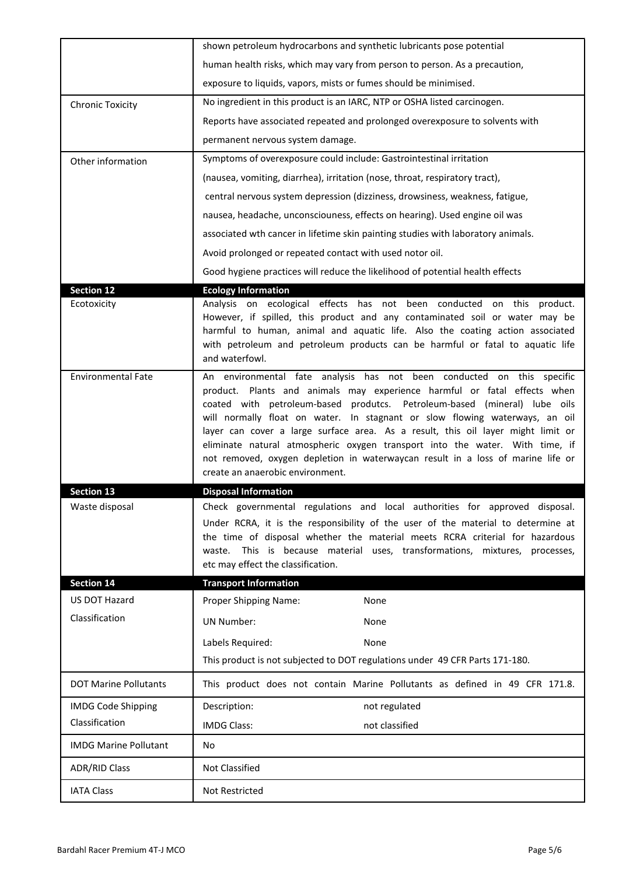|                              | shown petroleum hydrocarbons and synthetic lubricants pose potential                                                                                                                                                                                                                                                                                                                                                                                                                                                                                                                                      |  |  |
|------------------------------|-----------------------------------------------------------------------------------------------------------------------------------------------------------------------------------------------------------------------------------------------------------------------------------------------------------------------------------------------------------------------------------------------------------------------------------------------------------------------------------------------------------------------------------------------------------------------------------------------------------|--|--|
|                              | human health risks, which may vary from person to person. As a precaution,                                                                                                                                                                                                                                                                                                                                                                                                                                                                                                                                |  |  |
|                              | exposure to liquids, vapors, mists or fumes should be minimised.                                                                                                                                                                                                                                                                                                                                                                                                                                                                                                                                          |  |  |
| <b>Chronic Toxicity</b>      | No ingredient in this product is an IARC, NTP or OSHA listed carcinogen.                                                                                                                                                                                                                                                                                                                                                                                                                                                                                                                                  |  |  |
|                              | Reports have associated repeated and prolonged overexposure to solvents with                                                                                                                                                                                                                                                                                                                                                                                                                                                                                                                              |  |  |
|                              | permanent nervous system damage.                                                                                                                                                                                                                                                                                                                                                                                                                                                                                                                                                                          |  |  |
| Other information            | Symptoms of overexposure could include: Gastrointestinal irritation                                                                                                                                                                                                                                                                                                                                                                                                                                                                                                                                       |  |  |
|                              | (nausea, vomiting, diarrhea), irritation (nose, throat, respiratory tract),                                                                                                                                                                                                                                                                                                                                                                                                                                                                                                                               |  |  |
|                              | central nervous system depression (dizziness, drowsiness, weakness, fatigue,                                                                                                                                                                                                                                                                                                                                                                                                                                                                                                                              |  |  |
|                              | nausea, headache, unconsciouness, effects on hearing). Used engine oil was                                                                                                                                                                                                                                                                                                                                                                                                                                                                                                                                |  |  |
|                              | associated wth cancer in lifetime skin painting studies with laboratory animals.                                                                                                                                                                                                                                                                                                                                                                                                                                                                                                                          |  |  |
|                              | Avoid prolonged or repeated contact with used notor oil.                                                                                                                                                                                                                                                                                                                                                                                                                                                                                                                                                  |  |  |
|                              | Good hygiene practices will reduce the likelihood of potential health effects                                                                                                                                                                                                                                                                                                                                                                                                                                                                                                                             |  |  |
| <b>Section 12</b>            | <b>Ecology Information</b>                                                                                                                                                                                                                                                                                                                                                                                                                                                                                                                                                                                |  |  |
| Ecotoxicity                  | Analysis on ecological effects has not been conducted on this product.<br>However, if spilled, this product and any contaminated soil or water may be<br>harmful to human, animal and aquatic life. Also the coating action associated<br>with petroleum and petroleum products can be harmful or fatal to aquatic life<br>and waterfowl.                                                                                                                                                                                                                                                                 |  |  |
| <b>Environmental Fate</b>    | An environmental fate analysis has not been conducted on this specific<br>product. Plants and animals may experience harmful or fatal effects when<br>coated with petroleum-based produtcs. Petroleum-based (mineral) lube oils<br>will normally float on water. In stagnant or slow flowing waterways, an oil<br>layer can cover a large surface area. As a result, this oil layer might limit or<br>eliminate natural atmospheric oxygen transport into the water. With time, if<br>not removed, oxygen depletion in waterwaycan result in a loss of marine life or<br>create an anaerobic environment. |  |  |
|                              |                                                                                                                                                                                                                                                                                                                                                                                                                                                                                                                                                                                                           |  |  |
| <b>Section 13</b>            | <b>Disposal Information</b>                                                                                                                                                                                                                                                                                                                                                                                                                                                                                                                                                                               |  |  |
| Waste disposal               | Check governmental regulations and local authorities for approved disposal.<br>Under RCRA, it is the responsibility of the user of the material to determine at<br>the time of disposal whether the material meets RCRA criterial for hazardous<br>This is because material uses, transformations, mixtures, processes,<br>waste.<br>etc may effect the classification.                                                                                                                                                                                                                                   |  |  |
| <b>Section 14</b>            | <b>Transport Information</b>                                                                                                                                                                                                                                                                                                                                                                                                                                                                                                                                                                              |  |  |
| US DOT Hazard                | Proper Shipping Name:<br>None                                                                                                                                                                                                                                                                                                                                                                                                                                                                                                                                                                             |  |  |
| Classification               | <b>UN Number:</b><br>None                                                                                                                                                                                                                                                                                                                                                                                                                                                                                                                                                                                 |  |  |
|                              | Labels Required:<br>None                                                                                                                                                                                                                                                                                                                                                                                                                                                                                                                                                                                  |  |  |
|                              | This product is not subjected to DOT regulations under 49 CFR Parts 171-180.                                                                                                                                                                                                                                                                                                                                                                                                                                                                                                                              |  |  |
| <b>DOT Marine Pollutants</b> | This product does not contain Marine Pollutants as defined in 49 CFR 171.8.                                                                                                                                                                                                                                                                                                                                                                                                                                                                                                                               |  |  |
| <b>IMDG Code Shipping</b>    | Description:<br>not regulated                                                                                                                                                                                                                                                                                                                                                                                                                                                                                                                                                                             |  |  |
| Classification               | not classified<br><b>IMDG Class:</b>                                                                                                                                                                                                                                                                                                                                                                                                                                                                                                                                                                      |  |  |
| <b>IMDG Marine Pollutant</b> | No                                                                                                                                                                                                                                                                                                                                                                                                                                                                                                                                                                                                        |  |  |
| <b>ADR/RID Class</b>         | Not Classified                                                                                                                                                                                                                                                                                                                                                                                                                                                                                                                                                                                            |  |  |